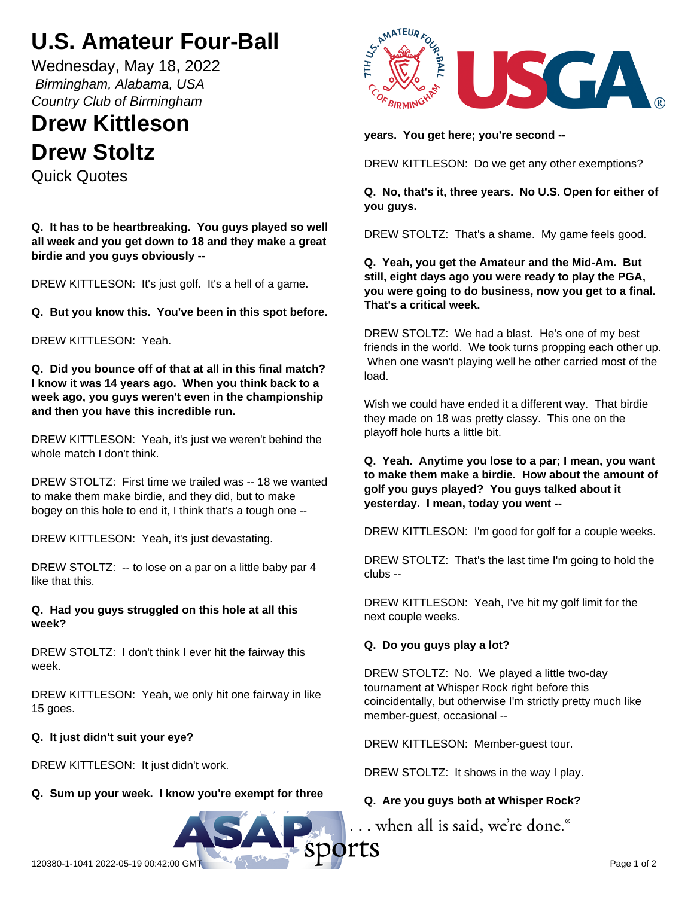# **U.S. Amateur Four-Ball**

Wednesday, May 18, 2022  *Birmingham, Alabama, USA Country Club of Birmingham*

## **Drew Kittleson Drew Stoltz**

Quick Quotes

**Q. It has to be heartbreaking. You guys played so well all week and you get down to 18 and they make a great birdie and you guys obviously --**

DREW KITTLESON: It's just golf. It's a hell of a game.

**Q. But you know this. You've been in this spot before.**

DREW KITTLESON: Yeah.

**Q. Did you bounce off of that at all in this final match? I know it was 14 years ago. When you think back to a week ago, you guys weren't even in the championship and then you have this incredible run.**

DREW KITTLESON: Yeah, it's just we weren't behind the whole match I don't think.

DREW STOLTZ: First time we trailed was -- 18 we wanted to make them make birdie, and they did, but to make bogey on this hole to end it, I think that's a tough one --

DREW KITTLESON: Yeah, it's just devastating.

DREW STOLTZ: -- to lose on a par on a little baby par 4 like that this.

## **Q. Had you guys struggled on this hole at all this week?**

DREW STOLTZ: I don't think I ever hit the fairway this week.

DREW KITTLESON: Yeah, we only hit one fairway in like 15 goes.

## **Q. It just didn't suit your eye?**

DREW KITTLESON: It just didn't work.

## **Q. Sum up your week. I know you're exempt for three**



**years. You get here; you're second --**

DREW KITTLESON: Do we get any other exemptions?

**Q. No, that's it, three years. No U.S. Open for either of you guys.**

DREW STOLTZ: That's a shame. My game feels good.

**Q. Yeah, you get the Amateur and the Mid-Am. But still, eight days ago you were ready to play the PGA, you were going to do business, now you get to a final. That's a critical week.**

DREW STOLTZ: We had a blast. He's one of my best friends in the world. We took turns propping each other up. When one wasn't playing well he other carried most of the load.

Wish we could have ended it a different way. That birdie they made on 18 was pretty classy. This one on the playoff hole hurts a little bit.

**Q. Yeah. Anytime you lose to a par; I mean, you want to make them make a birdie. How about the amount of golf you guys played? You guys talked about it yesterday. I mean, today you went --**

DREW KITTLESON: I'm good for golf for a couple weeks.

DREW STOLTZ: That's the last time I'm going to hold the clubs --

DREW KITTLESON: Yeah, I've hit my golf limit for the next couple weeks.

## **Q. Do you guys play a lot?**

DREW STOLTZ: No. We played a little two-day tournament at Whisper Rock right before this coincidentally, but otherwise I'm strictly pretty much like member-guest, occasional --

DREW KITTLESON: Member-guest tour.

DREW STOLTZ: It shows in the way I play.

## **Q. Are you guys both at Whisper Rock?**

... when all is said, we're done.<sup>®</sup>